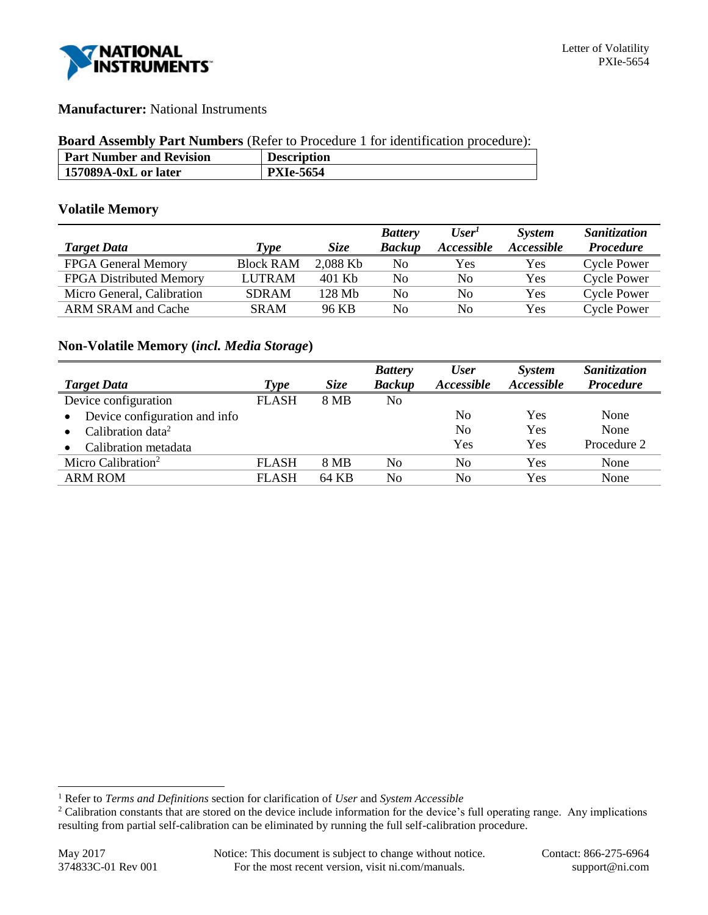

## **Manufacturer:** National Instruments

#### **Board Assembly Part Numbers** (Refer to Procedure 1 for identification procedure):

| <b>Part Number and Revision</b> | <b>Description</b> |
|---------------------------------|--------------------|
| 157089A-0xL or later            | <b>PXIe-5654</b>   |

## **Volatile Memory**

|                                |                  |             | <b>Battery</b> | User <sup>T</sup>        | <b>System</b>     | <b>Sanitization</b> |
|--------------------------------|------------------|-------------|----------------|--------------------------|-------------------|---------------------|
| <b>Target Data</b>             | Type             | <i>Size</i> | <b>Backup</b>  | <i><b>Accessible</b></i> | <i>Accessible</i> | <b>Procedure</b>    |
| <b>FPGA General Memory</b>     | <b>Block RAM</b> | 2,088 Kb    | No             | Yes                      | Yes               | <b>Cycle Power</b>  |
| <b>FPGA</b> Distributed Memory | <b>LUTRAM</b>    | 401 Kb      | No             | No                       | Yes               | <b>Cycle Power</b>  |
| Micro General, Calibration     | <b>SDRAM</b>     | 128 Mb      | No             | No                       | Yes               | <b>Cycle Power</b>  |
| ARM SRAM and Cache             | <b>SRAM</b>      | 96 KB       | No             | No                       | Yes               | Cycle Power         |

## **Non-Volatile Memory (***incl. Media Storage***)**

|                                            |              |       | <b>Battery</b> | <b>User</b>    | <b>System</b> | Sanitization     |
|--------------------------------------------|--------------|-------|----------------|----------------|---------------|------------------|
| <b>Target Data</b>                         | <b>Type</b>  | Size  | <b>Backup</b>  | Accessible     | Accessible    | <b>Procedure</b> |
| Device configuration                       | <b>FLASH</b> | 8 MB  | No             |                |               |                  |
| Device configuration and info<br>$\bullet$ |              |       |                | No             | Yes           | None             |
| Calibration data <sup>2</sup>              |              |       |                | N <sub>0</sub> | Yes           | None             |
| Calibration metadata                       |              |       |                | Yes            | Yes           | Procedure 2      |
| Micro Calibration <sup>2</sup>             | <b>FLASH</b> | 8 MB  | No             | No             | Yes           | None             |
| <b>ARM ROM</b>                             | <b>FLASH</b> | 64 KB | No             | No             | Yes           | None             |

l

<sup>1</sup> Refer to *Terms and Definitions* section for clarification of *User* and *System Accessible*

<sup>&</sup>lt;sup>2</sup> Calibration constants that are stored on the device include information for the device's full operating range. Any implications resulting from partial self-calibration can be eliminated by running the full self-calibration procedure.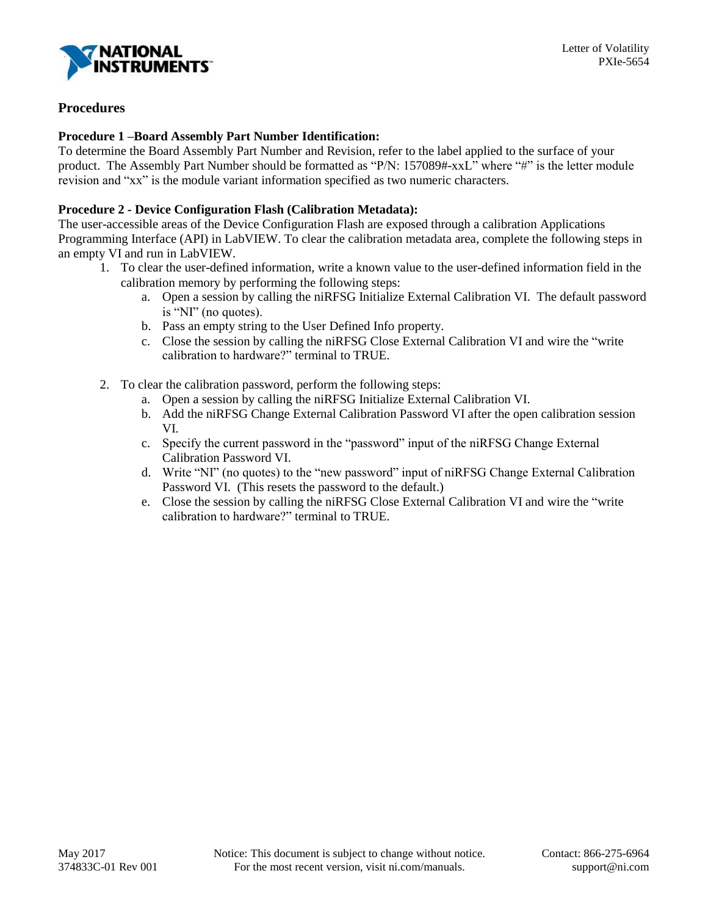

# **Procedures**

## **Procedure 1 –Board Assembly Part Number Identification:**

To determine the Board Assembly Part Number and Revision, refer to the label applied to the surface of your product. The Assembly Part Number should be formatted as "P/N: 157089#-xxL" where "#" is the letter module revision and "xx" is the module variant information specified as two numeric characters.

## **Procedure 2 - Device Configuration Flash (Calibration Metadata):**

The user-accessible areas of the Device Configuration Flash are exposed through a calibration Applications Programming Interface (API) in LabVIEW. To clear the calibration metadata area, complete the following steps in an empty VI and run in LabVIEW.

- 1. To clear the user-defined information, write a known value to the user-defined information field in the calibration memory by performing the following steps:
	- a. Open a session by calling the niRFSG Initialize External Calibration VI. The default password is "NI" (no quotes).
	- b. Pass an empty string to the User Defined Info property.
	- c. Close the session by calling the niRFSG Close External Calibration VI and wire the "write calibration to hardware?" terminal to TRUE.
- 2. To clear the calibration password, perform the following steps:
	- a. Open a session by calling the niRFSG Initialize External Calibration VI.
	- b. Add the niRFSG Change External Calibration Password VI after the open calibration session VI.
	- c. Specify the current password in the "password" input of the niRFSG Change External Calibration Password VI.
	- d. Write "NI" (no quotes) to the "new password" input of niRFSG Change External Calibration Password VI. (This resets the password to the default.)
	- e. Close the session by calling the niRFSG Close External Calibration VI and wire the "write calibration to hardware?" terminal to TRUE.